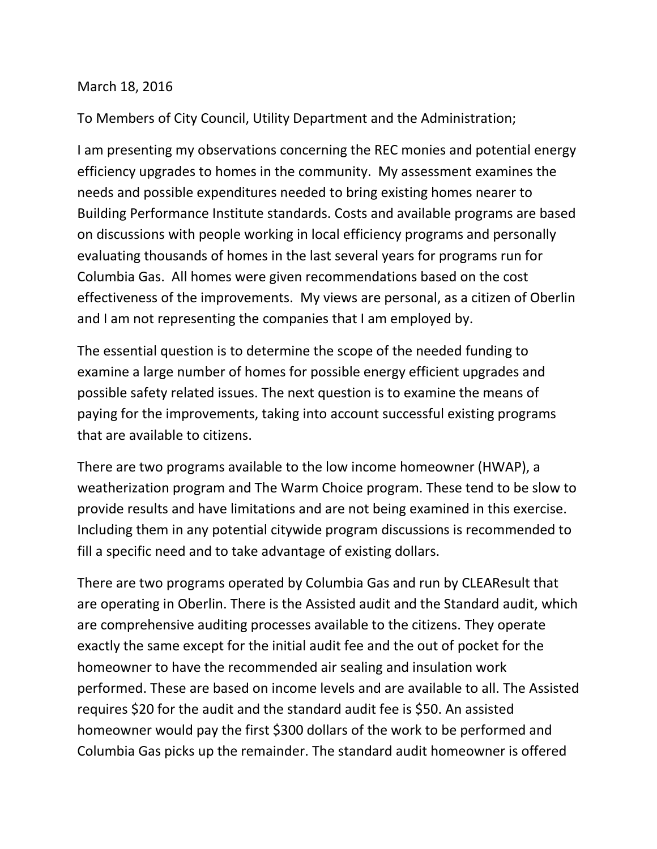## March 18, 2016

To Members of City Council, Utility Department and the Administration;

I am presenting my observations concerning the REC monies and potential energy efficiency upgrades to homes in the community. My assessment examines the needs and possible expenditures needed to bring existing homes nearer to Building Performance Institute standards. Costs and available programs are based on discussions with people working in local efficiency programs and personally evaluating thousands of homes in the last several years for programs run for Columbia Gas. All homes were given recommendations based on the cost effectiveness of the improvements. My views are personal, as a citizen of Oberlin and I am not representing the companies that I am employed by.

The essential question is to determine the scope of the needed funding to examine a large number of homes for possible energy efficient upgrades and possible safety related issues. The next question is to examine the means of paying for the improvements, taking into account successful existing programs that are available to citizens.

There are two programs available to the low income homeowner (HWAP), a weatherization program and The Warm Choice program. These tend to be slow to provide results and have limitations and are not being examined in this exercise. Including them in any potential citywide program discussions is recommended to fill a specific need and to take advantage of existing dollars.

There are two programs operated by Columbia Gas and run by CLEAResult that are operating in Oberlin. There is the Assisted audit and the Standard audit, which are comprehensive auditing processes available to the citizens. They operate exactly the same except for the initial audit fee and the out of pocket for the homeowner to have the recommended air sealing and insulation work performed. These are based on income levels and are available to all. The Assisted requires \$20 for the audit and the standard audit fee is \$50. An assisted homeowner would pay the first \$300 dollars of the work to be performed and Columbia Gas picks up the remainder. The standard audit homeowner is offered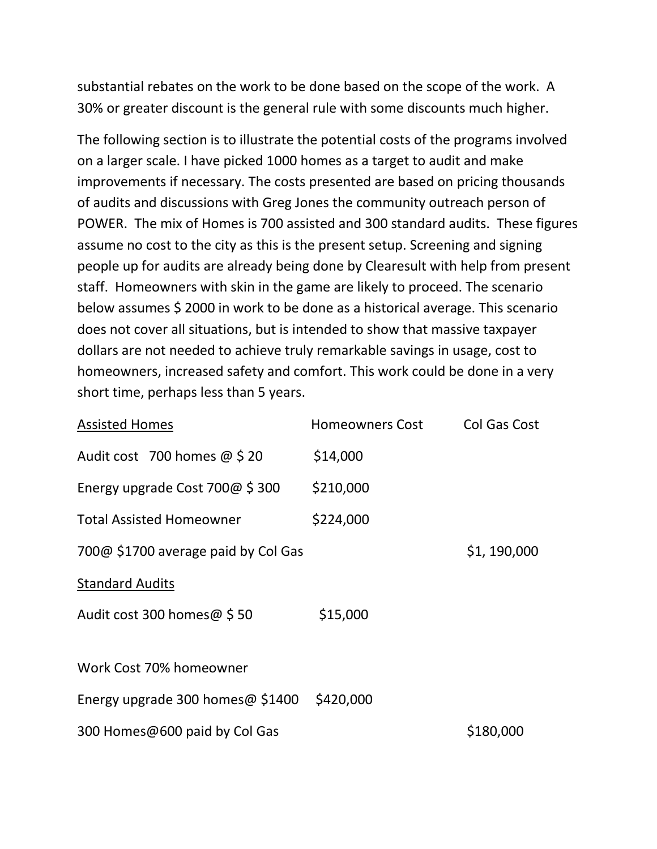substantial rebates on the work to be done based on the scope of the work. A 30% or greater discount is the general rule with some discounts much higher.

The following section is to illustrate the potential costs of the programs involved on a larger scale. I have picked 1000 homes as a target to audit and make improvements if necessary. The costs presented are based on pricing thousands of audits and discussions with Greg Jones the community outreach person of POWER. The mix of Homes is 700 assisted and 300 standard audits. These figures assume no cost to the city as this is the present setup. Screening and signing people up for audits are already being done by Clearesult with help from present staff. Homeowners with skin in the game are likely to proceed. The scenario below assumes \$ 2000 in work to be done as a historical average. This scenario does not cover all situations, but is intended to show that massive taxpayer dollars are not needed to achieve truly remarkable savings in usage, cost to homeowners, increased safety and comfort. This work could be done in a very short time, perhaps less than 5 years.

| <b>Assisted Homes</b>               | <b>Homeowners Cost</b> | <b>Col Gas Cost</b> |
|-------------------------------------|------------------------|---------------------|
| Audit cost 700 homes $\omega$ \$ 20 | \$14,000               |                     |
| Energy upgrade Cost $700@$ \$ 300   | \$210,000              |                     |
| <b>Total Assisted Homeowner</b>     | \$224,000              |                     |
| 700@ \$1700 average paid by Col Gas |                        | \$1,190,000         |
| <b>Standard Audits</b>              |                        |                     |
| Audit cost 300 homes@ \$50          | \$15,000               |                     |
|                                     |                        |                     |
| Work Cost 70% homeowner             |                        |                     |
| Energy upgrade 300 homes $@$ \$1400 | \$420,000              |                     |
| 300 Homes@600 paid by Col Gas       |                        | \$180,000           |